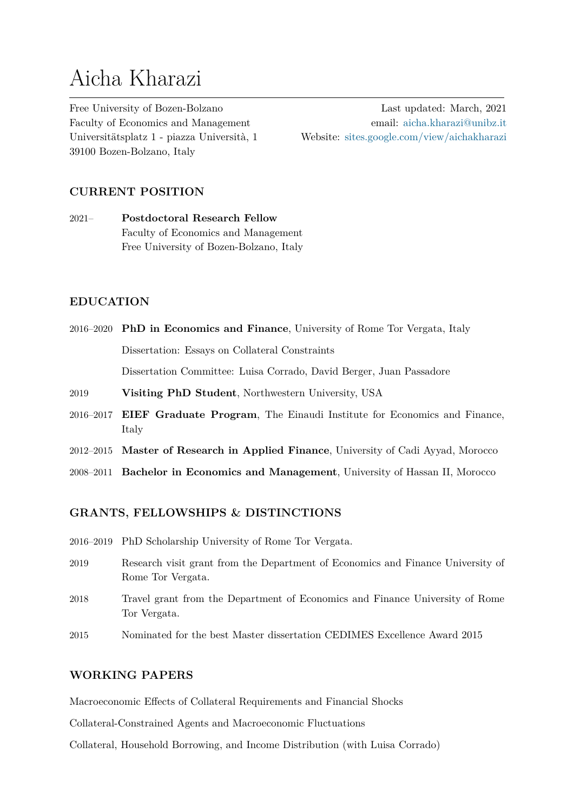# Aicha Kharazi

Free University of Bozen-Bolzano Faculty of Economics and Management Universitätsplatz 1 - piazza Università, 1 39100 Bozen-Bolzano, Italy

Last updated: March, 2021 email: aicha.kharazi@unibz.it Website: sites.google.com/view/aichakharazi

## **CURRENT POSITION**

2021– **Postdoctoral Research Fellow** Faculty of Economics and Management Free University of Bozen-Bolzano, Italy

## **EDUCATION**

- 2016–2020 **PhD in Economics and Finance**, University of Rome Tor Vergata, Italy Dissertation: Essays on Collateral Constraints Dissertation Committee: Luisa Corrado, David Berger, Juan Passadore
- 2019 **Visiting PhD Student**, Northwestern University, USA
- 2016–2017 **EIEF Graduate Program**, The Einaudi Institute for Economics and Finance, Italy
- 2012–2015 **Master of Research in Applied Finance**, University of Cadi Ayyad, Morocco
- 2008–2011 **Bachelor in Economics and Management**, University of Hassan II, Morocco

## **GRANTS, FELLOWSHIPS & DISTINCTIONS**

- 2016–2019 PhD Scholarship University of Rome Tor Vergata.
- 2019 Research visit grant from the Department of Economics and Finance University of Rome Tor Vergata.
- 2018 Travel grant from the Department of Economics and Finance University of Rome Tor Vergata.
- 2015 Nominated for the best Master dissertation CEDIMES Excellence Award 2015

## **WORKING PAPERS**

Macroeconomic Effects of Collateral Requirements and Financial Shocks

Collateral-Constrained Agents and Macroeconomic Fluctuations

Collateral, Household Borrowing, and Income Distribution (with Luisa Corrado)